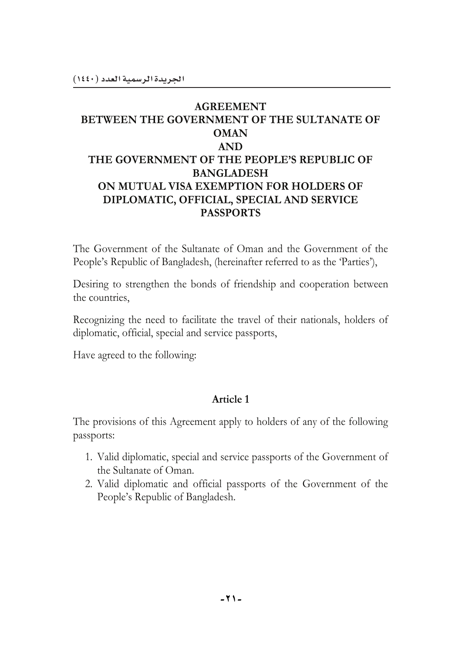### **AGREEMENT** BETWEEN THE GOVERNMENT OF THE SULTANATE OF **OMAN AND** THE GOVERNMENT OF THE PEOPLE'S REPUBLIC OF **BANGLADESH** ON MUTUAL VISA EXEMPTION FOR HOLDERS OF DIPLOMATIC, OFFICIAL, SPECIAL AND SERVICE **PASSPORTS**

The Government of the Sultanate of Oman and the Government of the People's Republic of Bangladesh, (hereinafter referred to as the 'Parties'),

Desiring to strengthen the bonds of friendship and cooperation between the countries,

Recognizing the need to facilitate the travel of their nationals, holders of diplomatic, official, special and service passports,

Have agreed to the following:

#### Article 1

The provisions of this Agreement apply to holders of any of the following passports:

- 1. Valid diplomatic, special and service passports of the Government of the Sultanate of Oman.
- 2. Valid diplomatic and official passports of the Government of the People's Republic of Bangladesh.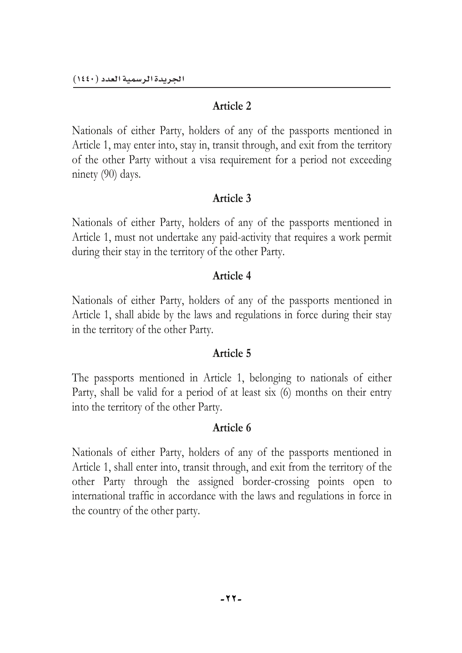Nationals of either Party, holders of any of the passports mentioned in Article 1, may enter into, stay in, transit through, and exit from the territory of the other Party without a visa requirement for a period not exceeding ninety (90) days.

# **Article 3**

Nationals of either Party, holders of any of the passports mentioned in Article 1, must not undertake any paid-activity that requires a work permit during their stay in the territory of the other Party.

# **Article 4**

Nationals of either Party, holders of any of the passports mentioned in Article 1, shall abide by the laws and regulations in force during their stay in the territory of the other Party.

### **Article 5**

The passports mentioned in Article 1, belonging to nationals of either Party, shall be valid for a period of at least six (6) months on their entry into the territory of the other Party.

# **Article 6**

Nationals of either Party, holders of any of the passports mentioned in Article 1, shall enter into, transit through, and exit from the territory of the other Party through the assigned border-crossing points open to international traffic in accordance with the laws and regulations in force in the country of the other party.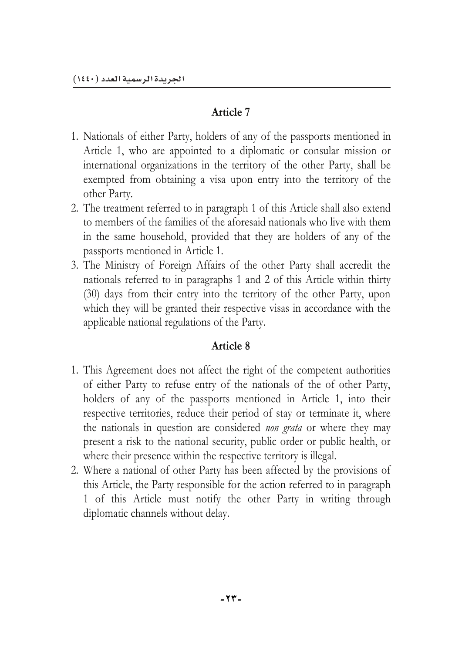- 1. Nationals of either Party, holders of any of the passports mentioned in Article 1, who are appointed to a diplomatic or consular mission or international organizations in the territory of the other Party, shall be exempted from obtaining a visa upon entry into the territory of the other Party.
- 2. The treatment referred to in paragraph 1 of this Article shall also extend to members of the families of the aforesaid nationals who live with them in the same household, provided that they are holders of any of the passports mentioned in Article 1.
- 3. The Ministry of Foreign Affairs of the other Party shall accredit the nationals referred to in paragraphs 1 and 2 of this Article within thirty (30) days from their entry into the territory of the other Party, upon which they will be granted their respective visas in accordance with the applicable national regulations of the Party.

# **Article 8**

- 1. This Agreement does not affect the right of the competent authorities of either Party to refuse entry of the nationals of the of other Party, holders of any of the passports mentioned in Article 1, into their respective territories, reduce their period of stay or terminate it, where the nationals in question are considered *non grata* or where they may present a risk to the national security, public order or public health, or where their presence within the respective territory is illegal.
- 2. Where a national of other Party has been affected by the provisions of this Article, the Party responsible for the action referred to in paragraph 1 of this Article must notify the other Party in writing through diplomatic channels without delay.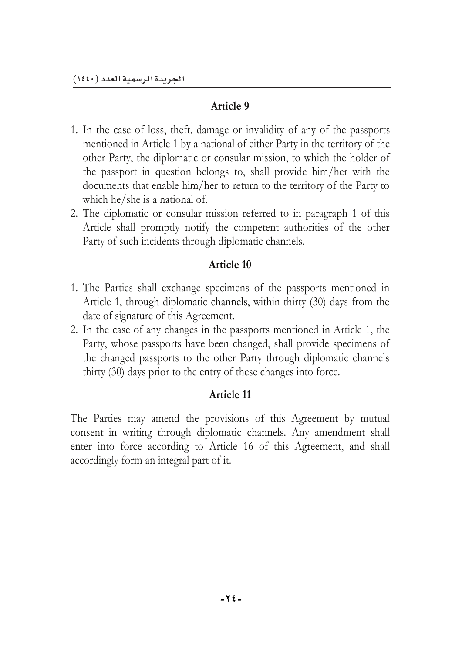- 1. In the case of loss, theft, damage or invalidity of any of the passports mentioned in Article 1 by a national of either Party in the territory of the other Party, the diplomatic or consular mission, to which the holder of the passport in question belongs to, shall provide him/her with the documents that enable him/her to return to the territory of the Party to which he/she is a national of.
- 2. The diplomatic or consular mission referred to in paragraph 1 of this Article shall promptly notify the competent authorities of the other Party of such incidents through diplomatic channels.

### **Article 10**

- 1. The Parties shall exchange specimens of the passports mentioned in Article 1, through diplomatic channels, within thirty (30) days from the date of signature of this Agreement.
- 2. In the case of any changes in the passports mentioned in Article 1, the Party, whose passports have been changed, shall provide specimens of the changed passports to the other Party through diplomatic channels thirty (30) days prior to the entry of these changes into force.

# **Article 11**

The Parties may amend the provisions of this Agreement by mutual consent in writing through diplomatic channels. Any amendment shall enter into force according to Article 16 of this Agreement, and shall accordingly form an integral part of it.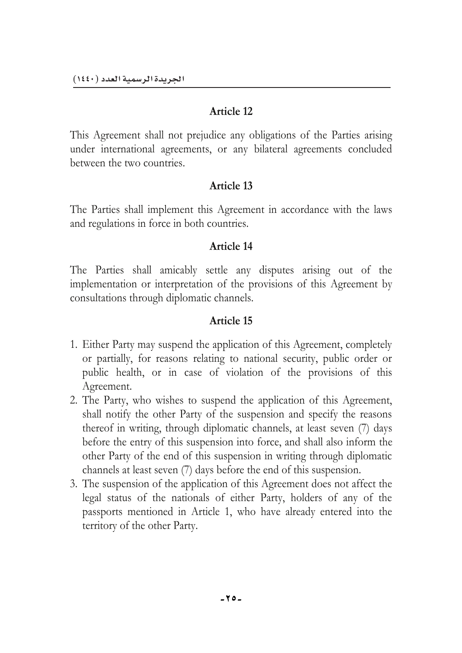This Agreement shall not prejudice any obligations of the Parties arising under international agreements, or any bilateral agreements concluded between the two countries.

### **Article 13**

The Parties shall implement this Agreement in accordance with the laws and regulations in force in both countries.

### **Article 14**

The Parties shall amicably settle any disputes arising out of the implementation or interpretation of the provisions of this Agreement by consultations through diplomatic channels.

### **Article 15**

- 1. Either Party may suspend the application of this Agreement, completely or partially, for reasons relating to national security, public order or public health, or in case of violation of the provisions of this Agreement.
- 2. The Party, who wishes to suspend the application of this Agreement, shall notify the other Party of the suspension and specify the reasons thereof in writing, through diplomatic channels, at least seven (7) days before the entry of this suspension into force, and shall also inform the other Party of the end of this suspension in writing through diplomatic channels at least seven (7) days before the end of this suspension.
- 3. The suspension of the application of this Agreement does not affect the legal status of the nationals of either Party, holders of any of the passports mentioned in Article 1, who have already entered into the territory of the other Party.